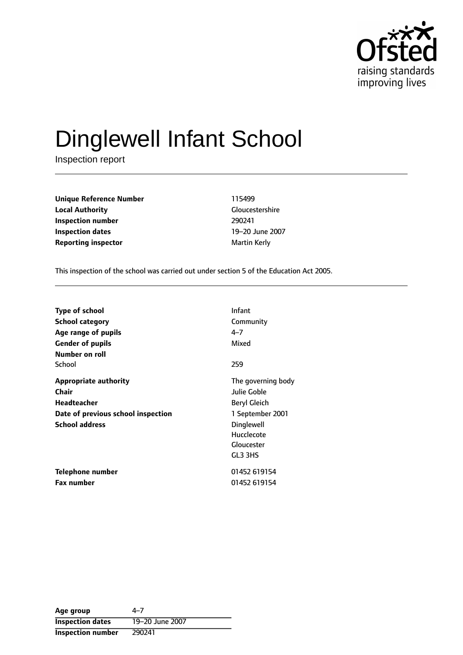

# Dinglewell Infant School

Inspection report

**Unique Reference Number** 115499 **Local Authority** Gloucestershire **Inspection number** 290241 **Inspection dates** 19-20 June 2007 **Reporting inspector and a maturity of the Martin Kerly** 

This inspection of the school was carried out under section 5 of the Education Act 2005.

| <b>Type of school</b>              | Infant             |
|------------------------------------|--------------------|
| <b>School category</b>             | Community          |
| Age range of pupils                | $4 - 7$            |
| <b>Gender of pupils</b>            | Mixed              |
| Number on roll                     |                    |
| School                             | 259                |
| <b>Appropriate authority</b>       | The governing body |
| Chair                              | Julie Goble        |
| <b>Headteacher</b>                 | Beryl Gleich       |
| Date of previous school inspection | 1 September 2001   |
| <b>School address</b>              | Dinglewell         |
|                                    | Hucclecote         |
|                                    | Gloucester         |
|                                    | GL3 3HS            |
| Telephone number                   | 01452 619154       |
| <b>Fax number</b>                  | 01452 619154       |

Age group  $4-7$ **Inspection dates** 19-20 June 2007 **Inspection number** 290241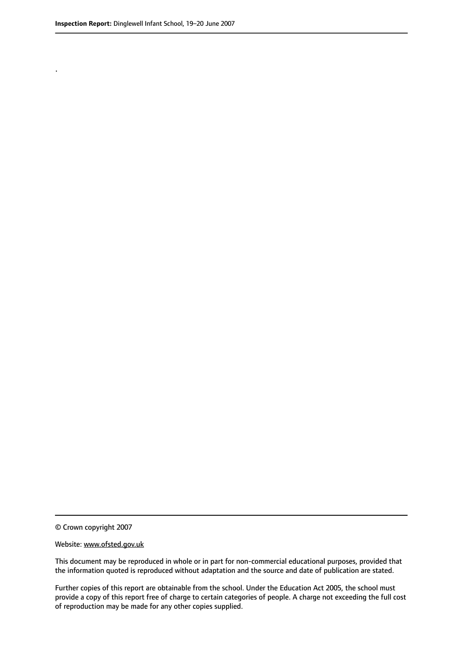.

© Crown copyright 2007

#### Website: www.ofsted.gov.uk

This document may be reproduced in whole or in part for non-commercial educational purposes, provided that the information quoted is reproduced without adaptation and the source and date of publication are stated.

Further copies of this report are obtainable from the school. Under the Education Act 2005, the school must provide a copy of this report free of charge to certain categories of people. A charge not exceeding the full cost of reproduction may be made for any other copies supplied.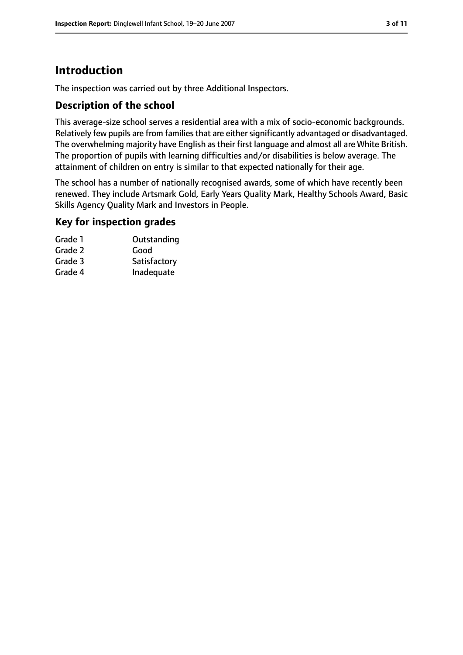# **Introduction**

The inspection was carried out by three Additional Inspectors.

#### **Description of the school**

This average-size school serves a residential area with a mix of socio-economic backgrounds. Relatively few pupils are from families that are either significantly advantaged or disadvantaged. The overwhelming majority have English as their first language and almost all are White British. The proportion of pupils with learning difficulties and/or disabilities is below average. The attainment of children on entry is similar to that expected nationally for their age.

The school has a number of nationally recognised awards, some of which have recently been renewed. They include Artsmark Gold, Early Years Quality Mark, Healthy Schools Award, Basic Skills Agency Quality Mark and Investors in People.

#### **Key for inspection grades**

| Grade 1 | Outstanding  |
|---------|--------------|
| Grade 2 | Good         |
| Grade 3 | Satisfactory |
| Grade 4 | Inadequate   |
|         |              |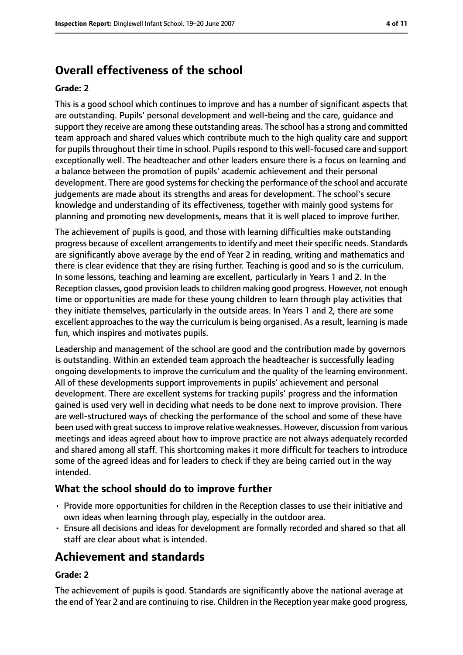# **Overall effectiveness of the school**

#### **Grade: 2**

This is a good school which continues to improve and has a number of significant aspects that are outstanding. Pupils' personal development and well-being and the care, guidance and support they receive are among these outstanding areas. The school has a strong and committed team approach and shared values which contribute much to the high quality care and support for pupils throughout their time in school. Pupils respond to this well-focused care and support exceptionally well. The headteacher and other leaders ensure there is a focus on learning and a balance between the promotion of pupils' academic achievement and their personal development. There are good systems for checking the performance of the school and accurate judgements are made about its strengths and areas for development. The school's secure knowledge and understanding of its effectiveness, together with mainly good systems for planning and promoting new developments, means that it is well placed to improve further.

The achievement of pupils is good, and those with learning difficulties make outstanding progress because of excellent arrangements to identify and meet their specific needs. Standards are significantly above average by the end of Year 2 in reading, writing and mathematics and there is clear evidence that they are rising further. Teaching is good and so is the curriculum. In some lessons, teaching and learning are excellent, particularly in Years 1 and 2. In the Reception classes, good provision leads to children making good progress. However, not enough time or opportunities are made for these young children to learn through play activities that they initiate themselves, particularly in the outside areas. In Years 1 and 2, there are some excellent approaches to the way the curriculum is being organised. As a result, learning is made fun, which inspires and motivates pupils.

Leadership and management of the school are good and the contribution made by governors is outstanding. Within an extended team approach the headteacher is successfully leading ongoing developments to improve the curriculum and the quality of the learning environment. All of these developments support improvements in pupils' achievement and personal development. There are excellent systems for tracking pupils' progress and the information gained is used very well in deciding what needs to be done next to improve provision. There are well-structured ways of checking the performance of the school and some of these have been used with great success to improve relative weaknesses. However, discussion from various meetings and ideas agreed about how to improve practice are not always adequately recorded and shared among all staff. This shortcoming makes it more difficult for teachers to introduce some of the agreed ideas and for leaders to check if they are being carried out in the way intended.

### **What the school should do to improve further**

- Provide more opportunities for children in the Reception classes to use their initiative and own ideas when learning through play, especially in the outdoor area.
- Ensure all decisions and ideas for development are formally recorded and shared so that all staff are clear about what is intended.

# **Achievement and standards**

#### **Grade: 2**

The achievement of pupils is good. Standards are significantly above the national average at the end of Year 2 and are continuing to rise. Children in the Reception year make good progress,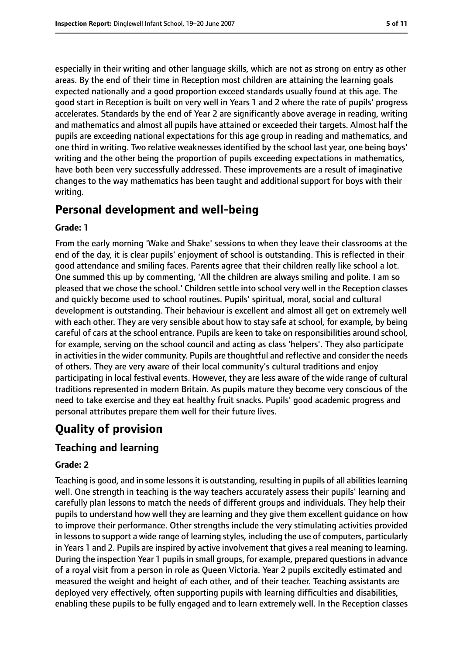especially in their writing and other language skills, which are not as strong on entry as other areas. By the end of their time in Reception most children are attaining the learning goals expected nationally and a good proportion exceed standards usually found at this age. The good start in Reception is built on very well in Years 1 and 2 where the rate of pupils' progress accelerates. Standards by the end of Year 2 are significantly above average in reading, writing and mathematics and almost all pupils have attained or exceeded their targets. Almost half the pupils are exceeding national expectations for this age group in reading and mathematics, and one third in writing. Two relative weaknesses identified by the school last year, one being boys' writing and the other being the proportion of pupils exceeding expectations in mathematics, have both been very successfully addressed. These improvements are a result of imaginative changes to the way mathematics has been taught and additional support for boys with their writing.

# **Personal development and well-being**

#### **Grade: 1**

From the early morning 'Wake and Shake' sessions to when they leave their classrooms at the end of the day, it is clear pupils' enjoyment of school is outstanding. This is reflected in their good attendance and smiling faces. Parents agree that their children really like school a lot. One summed this up by commenting, 'All the children are always smiling and polite. I am so pleased that we chose the school.' Children settle into school very well in the Reception classes and quickly become used to school routines. Pupils' spiritual, moral, social and cultural development is outstanding. Their behaviour is excellent and almost all get on extremely well with each other. They are very sensible about how to stay safe at school, for example, by being careful of cars at the school entrance. Pupils are keen to take on responsibilities around school, for example, serving on the school council and acting as class 'helpers'. They also participate in activities in the wider community. Pupils are thoughtful and reflective and consider the needs of others. They are very aware of their local community's cultural traditions and enjoy participating in local festival events. However, they are less aware of the wide range of cultural traditions represented in modern Britain. As pupils mature they become very conscious of the need to take exercise and they eat healthy fruit snacks. Pupils' good academic progress and personal attributes prepare them well for their future lives.

# **Quality of provision**

## **Teaching and learning**

#### **Grade: 2**

Teaching is good, and in some lessons it is outstanding, resulting in pupils of all abilities learning well. One strength in teaching is the way teachers accurately assess their pupils' learning and carefully plan lessons to match the needs of different groups and individuals. They help their pupils to understand how well they are learning and they give them excellent guidance on how to improve their performance. Other strengths include the very stimulating activities provided in lessons to support a wide range of learning styles, including the use of computers, particularly in Years 1 and 2. Pupils are inspired by active involvement that gives a real meaning to learning. During the inspection Year 1 pupils in small groups, for example, prepared questions in advance of a royal visit from a person in role as Queen Victoria. Year 2 pupils excitedly estimated and measured the weight and height of each other, and of their teacher. Teaching assistants are deployed very effectively, often supporting pupils with learning difficulties and disabilities, enabling these pupils to be fully engaged and to learn extremely well. In the Reception classes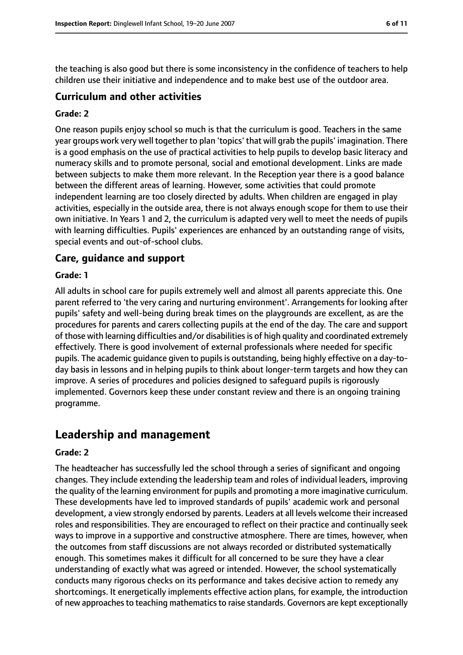the teaching is also good but there is some inconsistency in the confidence of teachers to help children use their initiative and independence and to make best use of the outdoor area.

## **Curriculum and other activities**

#### **Grade: 2**

One reason pupils enjoy school so much is that the curriculum is good. Teachers in the same year groups work very well together to plan 'topics' that will grab the pupils' imagination. There is a good emphasis on the use of practical activities to help pupils to develop basic literacy and numeracy skills and to promote personal, social and emotional development. Links are made between subjects to make them more relevant. In the Reception year there is a good balance between the different areas of learning. However, some activities that could promote independent learning are too closely directed by adults. When children are engaged in play activities, especially in the outside area, there is not always enough scope for them to use their own initiative. In Years 1 and 2, the curriculum is adapted very well to meet the needs of pupils with learning difficulties. Pupils' experiences are enhanced by an outstanding range of visits, special events and out-of-school clubs.

## **Care, guidance and support**

#### **Grade: 1**

All adults in school care for pupils extremely well and almost all parents appreciate this. One parent referred to 'the very caring and nurturing environment'. Arrangements for looking after pupils' safety and well-being during break times on the playgrounds are excellent, as are the procedures for parents and carers collecting pupils at the end of the day. The care and support of those with learning difficulties and/or disabilities is of high quality and coordinated extremely effectively. There is good involvement of external professionals where needed for specific pupils. The academic guidance given to pupils is outstanding, being highly effective on a day-today basis in lessons and in helping pupils to think about longer-term targets and how they can improve. A series of procedures and policies designed to safeguard pupils is rigorously implemented. Governors keep these under constant review and there is an ongoing training programme.

# **Leadership and management**

#### **Grade: 2**

The headteacher has successfully led the school through a series of significant and ongoing changes. They include extending the leadership team and roles of individual leaders, improving the quality of the learning environment for pupils and promoting a more imaginative curriculum. These developments have led to improved standards of pupils' academic work and personal development, a view strongly endorsed by parents. Leaders at all levels welcome their increased roles and responsibilities. They are encouraged to reflect on their practice and continually seek ways to improve in a supportive and constructive atmosphere. There are times, however, when the outcomes from staff discussions are not always recorded or distributed systematically enough. This sometimes makes it difficult for all concerned to be sure they have a clear understanding of exactly what was agreed or intended. However, the school systematically conducts many rigorous checks on its performance and takes decisive action to remedy any shortcomings. It energetically implements effective action plans, for example, the introduction of new approaches to teaching mathematics to raise standards. Governors are kept exceptionally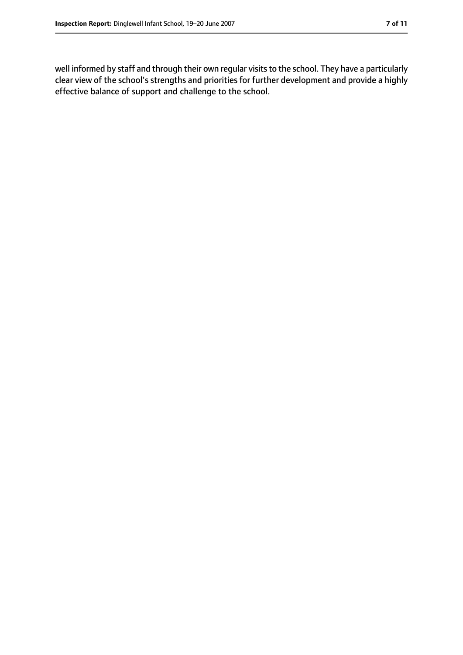well informed by staff and through their own regular visits to the school. They have a particularly clear view of the school's strengths and priorities for further development and provide a highly effective balance of support and challenge to the school.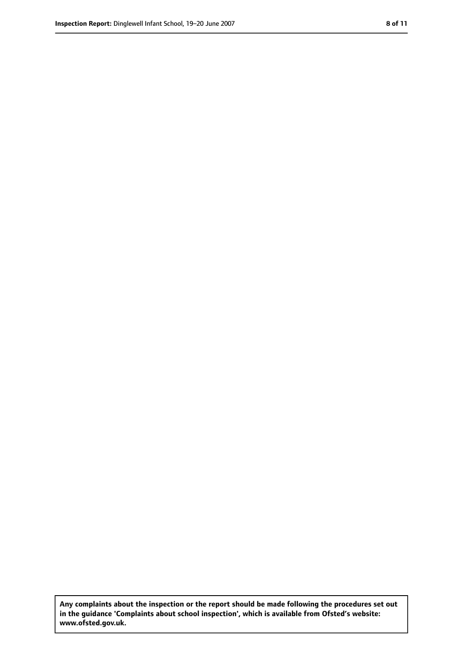**Any complaints about the inspection or the report should be made following the procedures set out in the guidance 'Complaints about school inspection', which is available from Ofsted's website: www.ofsted.gov.uk.**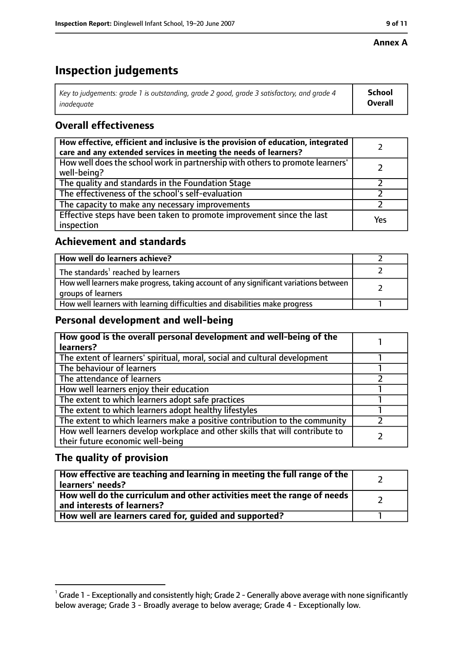#### **Annex A**

# **Inspection judgements**

| Key to judgements: grade 1 is outstanding, grade 2 good, grade 3 satisfactory, and grade 4 $\,$ | <b>School</b>  |
|-------------------------------------------------------------------------------------------------|----------------|
| inadequate                                                                                      | <b>Overall</b> |

# **Overall effectiveness**

| How effective, efficient and inclusive is the provision of education, integrated<br>care and any extended services in meeting the needs of learners? |     |
|------------------------------------------------------------------------------------------------------------------------------------------------------|-----|
| How well does the school work in partnership with others to promote learners'<br>well-being?                                                         |     |
| The quality and standards in the Foundation Stage                                                                                                    |     |
| The effectiveness of the school's self-evaluation                                                                                                    |     |
| The capacity to make any necessary improvements                                                                                                      |     |
| Effective steps have been taken to promote improvement since the last<br>inspection                                                                  | Yes |

## **Achievement and standards**

| How well do learners achieve?                                                                               |  |
|-------------------------------------------------------------------------------------------------------------|--|
| The standards <sup>1</sup> reached by learners                                                              |  |
| How well learners make progress, taking account of any significant variations between<br>groups of learners |  |
| How well learners with learning difficulties and disabilities make progress                                 |  |

## **Personal development and well-being**

| How good is the overall personal development and well-being of the<br>learners?                                  |  |
|------------------------------------------------------------------------------------------------------------------|--|
| The extent of learners' spiritual, moral, social and cultural development                                        |  |
| The behaviour of learners                                                                                        |  |
| The attendance of learners                                                                                       |  |
| How well learners enjoy their education                                                                          |  |
| The extent to which learners adopt safe practices                                                                |  |
| The extent to which learners adopt healthy lifestyles                                                            |  |
| The extent to which learners make a positive contribution to the community                                       |  |
| How well learners develop workplace and other skills that will contribute to<br>their future economic well-being |  |

# **The quality of provision**

| How effective are teaching and learning in meeting the full range of the<br>learners' needs?          |  |
|-------------------------------------------------------------------------------------------------------|--|
| How well do the curriculum and other activities meet the range of needs<br>and interests of learners? |  |
| How well are learners cared for, quided and supported?                                                |  |

 $^1$  Grade 1 - Exceptionally and consistently high; Grade 2 - Generally above average with none significantly below average; Grade 3 - Broadly average to below average; Grade 4 - Exceptionally low.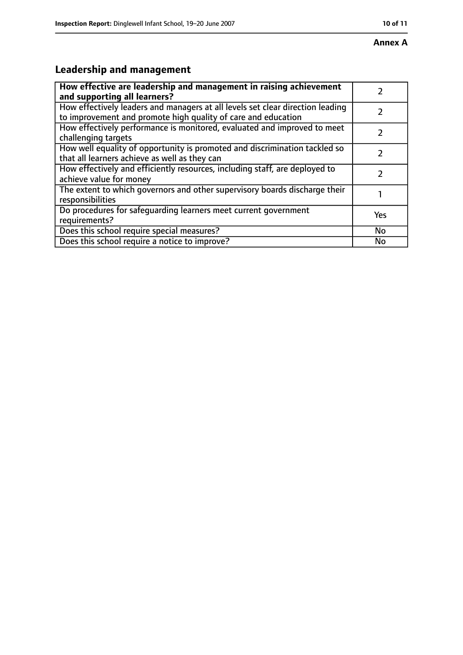# **Leadership and management**

| How effective are leadership and management in raising achievement<br>and supporting all learners?                                              |           |
|-------------------------------------------------------------------------------------------------------------------------------------------------|-----------|
| How effectively leaders and managers at all levels set clear direction leading<br>to improvement and promote high quality of care and education |           |
| How effectively performance is monitored, evaluated and improved to meet<br>challenging targets                                                 |           |
| How well equality of opportunity is promoted and discrimination tackled so<br>that all learners achieve as well as they can                     |           |
| How effectively and efficiently resources, including staff, are deployed to<br>achieve value for money                                          |           |
| The extent to which governors and other supervisory boards discharge their<br>responsibilities                                                  |           |
| Do procedures for safequarding learners meet current government<br>requirements?                                                                | Yes       |
| Does this school require special measures?                                                                                                      | <b>No</b> |
| Does this school require a notice to improve?                                                                                                   | No        |